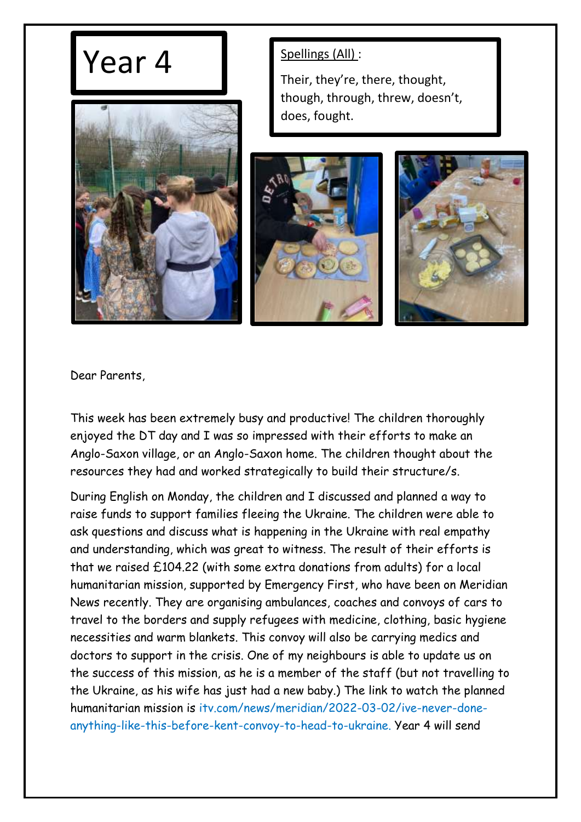## $\text{Year } 4$  | Spellings (All) :



Their, they're, there, thought, though, through, threw, doesn't, does, fought.





Dear Parents,

This week has been extremely busy and productive! The children thoroughly enjoyed the DT day and I was so impressed with their efforts to make an Anglo-Saxon village, or an Anglo-Saxon home. The children thought about the resources they had and worked strategically to build their structure/s.

During English on Monday, the children and I discussed and planned a way to raise funds to support families fleeing the Ukraine. The children were able to ask questions and discuss what is happening in the Ukraine with real empathy and understanding, which was great to witness. The result of their efforts is that we raised £104.22 (with some extra donations from adults) for a local humanitarian mission, supported by Emergency First, who have been on Meridian News recently. They are organising ambulances, coaches and convoys of cars to travel to the borders and supply refugees with medicine, clothing, basic hygiene necessities and warm blankets. This convoy will also be carrying medics and doctors to support in the crisis. One of my neighbours is able to update us on the success of this mission, as he is a member of the staff (but not travelling to the Ukraine, as his wife has just had a new baby.) The link to watch the planned humanitarian mission is itv.com/news/meridian/2022-03-02/ive-never-doneanything-like-this-before-kent-convoy-to-head-to-ukraine. Year 4 will send